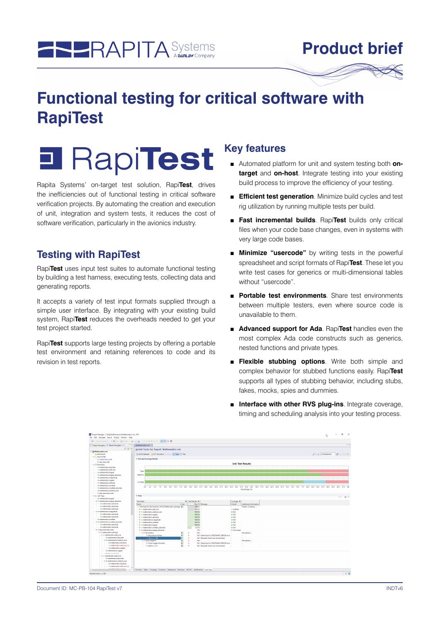

# **Product brief**

# **Functional testing for critical software with RapiTest**



Rapita Systems' on-target test solution, Rapi**Test**, drives the inefficiencies out of functional testing in critical software verification projects. By automating the creation and execution of unit, integration and system tests, it reduces the cost of software verification, particularly in the avionics industry.

# **Testing with RapiTest**

Rapi**Test** uses input test suites to automate functional testing by building a test harness, executing tests, collecting data and generating reports.

It accepts a variety of test input formats supplied through a simple user interface. By integrating with your existing build system, Rapi**Test** reduces the overheads needed to get your test project started.

Rapi**Test** supports large testing projects by offering a portable test environment and retaining references to code and its revision in test reports.

#### **Key features**

- Automated platform for unit and system testing both **ontarget** and **on-host**. Integrate testing into your existing build process to improve the efficiency of your testing.
- **Efficient test generation**. Minimize build cycles and test rig utilization by running multiple tests per build.
- **Fast incremental builds**. Rapi**Test** builds only critical files when your code base changes, even in systems with very large code bases.
- **Minimize "usercode"** by writing tests in the powerful spreadsheet and script formats of Rapi**Test**. These let you write test cases for generics or multi-dimensional tables without "usercode".
- **Portable test environments**. Share test environments between multiple testers, even where source code is unavailable to them.
- **Advanced support for Ada**. Rapi**Test** handles even the most complex Ada code constructs such as generics, nested functions and private types.
- **Flexible stubbing options**. Write both simple and complex behavior for stubbed functions easily. Rapi**Test** supports all types of stubbing behavior, including stubs, fakes, mocks, spies and dummies.
- **Interface with other RVS plug-ins**. Integrate coverage, timing and scheduling analysis into your testing process.